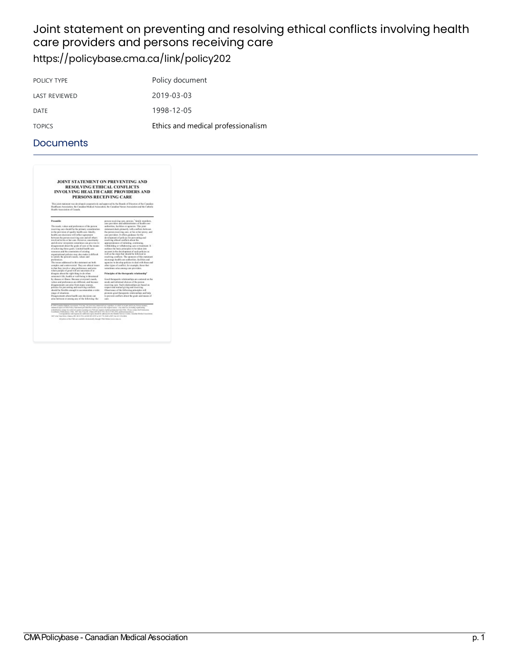### Joint statement on preventing and resolving ethical conflicts involving health care providers and persons receiving care <https://policybase.cma.ca/link/policy202>

| POLICY TYPE   | Policy document                    |
|---------------|------------------------------------|
| LAST REVIEWED | 2019-03-03                         |
| DATE          | 1998-12-05                         |
| <b>TOPICS</b> | Ethics and medical professionalism |

| JOINT STATEMENT ON PREVENTING AND<br>RESOLVING ETHICAL CONFLICTS<br><b>INVOLVING HEALTH CARE PROVIDERS AND</b><br>PERSONS RECEIVING CARE                                                                                                                                                                                                                                                                                                                                                                                                                                                                                                                                                                                        |                                                                                                                      |  |
|---------------------------------------------------------------------------------------------------------------------------------------------------------------------------------------------------------------------------------------------------------------------------------------------------------------------------------------------------------------------------------------------------------------------------------------------------------------------------------------------------------------------------------------------------------------------------------------------------------------------------------------------------------------------------------------------------------------------------------|----------------------------------------------------------------------------------------------------------------------|--|
| This joint statiment was developed compete inclu approved by the Boards of Directors of the Consdina-<br>Healthcare Association, the Canadian Medical Association, the Canadian Nurses Association and the Cathelic<br>Health Association of Canada.                                                                                                                                                                                                                                                                                                                                                                                                                                                                            |                                                                                                                      |  |
| Present-ke                                                                                                                                                                                                                                                                                                                                                                                                                                                                                                                                                                                                                                                                                                                      | person receiving care, provins," family members,<br>care previders and administrators of bookly care                 |  |
| The needs, values and preferences of the person                                                                                                                                                                                                                                                                                                                                                                                                                                                                                                                                                                                                                                                                                 | authorities, facilities or agencies. This joint                                                                      |  |
| requiring care should be the primary consideration.                                                                                                                                                                                                                                                                                                                                                                                                                                                                                                                                                                                                                                                                             | statement clears primarily with coaff iets between                                                                   |  |
| in the provision of quality health case. Ideally,                                                                                                                                                                                                                                                                                                                                                                                                                                                                                                                                                                                                                                                                               | the person requiring cars, or his or her press, and                                                                  |  |
| health care decisions will reflect agreement                                                                                                                                                                                                                                                                                                                                                                                                                                                                                                                                                                                                                                                                                    | care providers. It offers existence for the                                                                          |  |
| between the person requiring case and all others.<br>innolved in kis or her care. Hawawer, spectrainty                                                                                                                                                                                                                                                                                                                                                                                                                                                                                                                                                                                                                          | development of sedeses for proventing and<br>resulting sthied conflicts about the                                    |  |
| and diverse viewpoints sometimes can give rise to                                                                                                                                                                                                                                                                                                                                                                                                                                                                                                                                                                                                                                                                               | appropriateness of initiating, continuing,                                                                           |  |
| disagreement about the goals of case or the means.                                                                                                                                                                                                                                                                                                                                                                                                                                                                                                                                                                                                                                                                              | withholding or withdrawing care or trainment. It                                                                     |  |
| of achieving those goals. Limbed health care<br>resonances and the constraints of estisting                                                                                                                                                                                                                                                                                                                                                                                                                                                                                                                                                                                                                                     | audinos the basic principles to be taken into<br>account in the development of such pelicies as                      |  |
| manufactural policies may also make it difficult                                                                                                                                                                                                                                                                                                                                                                                                                                                                                                                                                                                                                                                                                | reall as the steps that should be followed in-                                                                       |  |
| to satisfy the person's russels, values and                                                                                                                                                                                                                                                                                                                                                                                                                                                                                                                                                                                                                                                                                     | resulting conflicts. The sponsors of this statement                                                                  |  |
| preferences.                                                                                                                                                                                                                                                                                                                                                                                                                                                                                                                                                                                                                                                                                                                    | prostunge bealth care authorities, facilities and                                                                    |  |
| The ionies addressed in this statement age both                                                                                                                                                                                                                                                                                                                                                                                                                                                                                                                                                                                                                                                                                 | appreciate to develop policies to deal with these and                                                                |  |
| counter, and controversial. They are efficial issues                                                                                                                                                                                                                                                                                                                                                                                                                                                                                                                                                                                                                                                                            | ether tenso of conflict. for example, those that                                                                     |  |
| in that they introduct value repliesment and arise.<br>where people of good will are uncertain of an                                                                                                                                                                                                                                                                                                                                                                                                                                                                                                                                                                                                                            | sensitions arise among cars were deve-                                                                               |  |
| disperso about the right thing to do when<br>seneone's life, bealth or well-being is threatened                                                                                                                                                                                                                                                                                                                                                                                                                                                                                                                                                                                                                                 | Principles of the therapeutic relationship?                                                                          |  |
| by cleanist at illness. Because everyone's needs,                                                                                                                                                                                                                                                                                                                                                                                                                                                                                                                                                                                                                                                                               | frond thempetric relationships are centered on the                                                                   |  |
| talors and preferences are different, and because                                                                                                                                                                                                                                                                                                                                                                                                                                                                                                                                                                                                                                                                               | needs and informed choices of the person                                                                             |  |
| disagreements can area from many sources.<br>politics for parventing and resolving conflicts.                                                                                                                                                                                                                                                                                                                                                                                                                                                                                                                                                                                                                                   | receiving care. Such relationships are based on<br>respect and matual giving and receiving.                          |  |
| should be flowible enough to accommodate a wide                                                                                                                                                                                                                                                                                                                                                                                                                                                                                                                                                                                                                                                                                 | Observance of the following principles will                                                                          |  |
| mani of situations.                                                                                                                                                                                                                                                                                                                                                                                                                                                                                                                                                                                                                                                                                                             | premote good therapeutic velationships and help                                                                      |  |
| Disagreements about basilik care decisions can                                                                                                                                                                                                                                                                                                                                                                                                                                                                                                                                                                                                                                                                                  | to prevent conflicts about the goals and means of                                                                    |  |
| arias between or among any of the following: the                                                                                                                                                                                                                                                                                                                                                                                                                                                                                                                                                                                                                                                                                | care.                                                                                                                |  |
| C 1999 Canadian Hudieni Autorization Text rage, for your non-contracted and terpolitant in arbitic or in part and its any formed mission.<br>antimized aspire of CMA Policy Natesimous provided that and/a is given to the original ensure. Any other was including stylehilding,<br>estudionism competitive entired contributions and With the tenders made completely from Chia. Please competitive Pennissimal<br>Combinery Publications CALL 1987 Max Unsults: One cutOS CALTER: Each LT 04-2013; panis atoms) process<br>1407 A la Vian Drive, Owens (8) 82(0) 7Ye access \$14,2000 at \$27(8) ANN (2007) (at \$11,200,000).<br>All subject of the CMA are confuling characterized a descript CMA (bulges therein concerns | Currentman and requires for additional aspire dendal by address this decidenter Green, Canadian Medical Association. |  |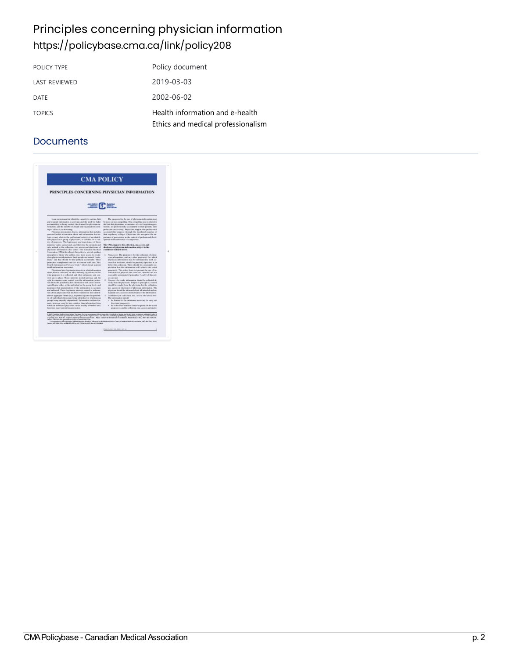# Principles concerning physician information <https://policybase.cma.ca/link/policy208>

| POLICY TYPE          | Policy document                                                       |
|----------------------|-----------------------------------------------------------------------|
| <b>LAST REVIEWED</b> | 2019-03-03                                                            |
| <b>DATE</b>          | 2002-06-02                                                            |
| <b>TOPICS</b>        | Health information and e-health<br>Ethics and medical professionalism |

| <b>CMA POLICY</b><br>PRINCIPLES CONCERNING PHYSICIAN INFORMATION<br><b>The Reader</b>                                                         |                                                                                                                                                      |
|-----------------------------------------------------------------------------------------------------------------------------------------------|------------------------------------------------------------------------------------------------------------------------------------------------------|
|                                                                                                                                               |                                                                                                                                                      |
| Observation links (three permanental manufacturers) and Col. 1794.<br>Observe MPC ADAL PEAK Annie MRS APPEAR AS AN ENGINEERING AND A REPORTED | Correspondence and respons for solidated explorational to determine to the Member Service County Countries Medical dramatisms, 1967 Max Elera Drive, |
|                                                                                                                                               | TARE PURSE, 20 JUNE 16714.                                                                                                                           |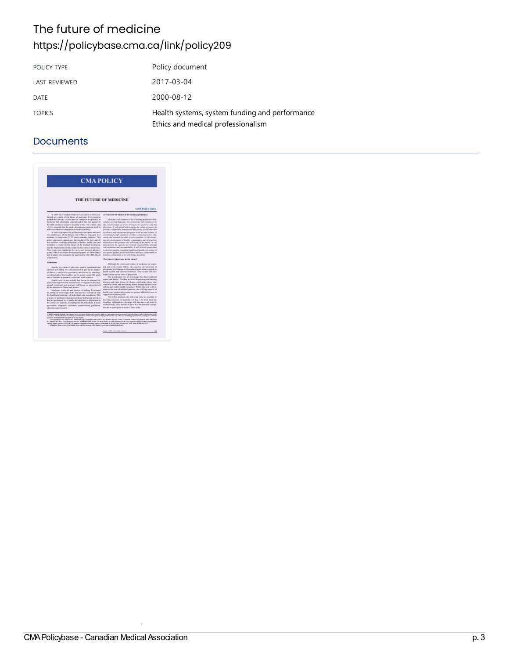# The future of medicine <https://policybase.cma.ca/link/policy209>

| POLICY TYPE          | Policy document                                                                      |
|----------------------|--------------------------------------------------------------------------------------|
| <b>LAST REVIEWED</b> | 2017-03-04                                                                           |
| DATE                 | 2000-08-12                                                                           |
| <b>TOPICS</b>        | Health systems, system funding and performance<br>Ethics and medical professionalism |

| <b>CMA POLICY</b>                                                                                                                                                                                                                                                                                                        |                                                                                                                                                                                                                                                                                                                                                                                                                                                                                                                                |  |
|--------------------------------------------------------------------------------------------------------------------------------------------------------------------------------------------------------------------------------------------------------------------------------------------------------------------------|--------------------------------------------------------------------------------------------------------------------------------------------------------------------------------------------------------------------------------------------------------------------------------------------------------------------------------------------------------------------------------------------------------------------------------------------------------------------------------------------------------------------------------|--|
| THE FUTURE OF MEDICINE                                                                                                                                                                                                                                                                                                   |                                                                                                                                                                                                                                                                                                                                                                                                                                                                                                                                |  |
|                                                                                                                                                                                                                                                                                                                          | <b>CMA Policy Index</b>                                                                                                                                                                                                                                                                                                                                                                                                                                                                                                        |  |
| In 1997 the Canadian Medical Association (CMA) over-<br>harded an a study of the liture of medicins. Two promises,                                                                                                                                                                                                       | A vision for the fature of the medical profession.                                                                                                                                                                                                                                                                                                                                                                                                                                                                             |  |
| guided this activity (1) the pape of change in the precise of                                                                                                                                                                                                                                                            | Modwine wall continue to be a healing profession abili-                                                                                                                                                                                                                                                                                                                                                                                                                                                                        |  |
| medicine that physicians experienced in the last quarter of<br>the 20th century to heard to increase in the 21st century, and<br>(2) it is provided that the medical provincian position short to:<br>influence l'aiser developments in medical procésor.                                                                | cated to service Augustic. Its consensions will consiste in by-<br>the relationship of trust between the putural and the<br>physicals. A sail sphoid with integrity the values of respect for<br>persons, comparator, honghomer and positer. It was string for                                                                                                                                                                                                                                                                 |  |
| In online to propere the profession to anticipate and need.<br>the challenges of the fature. He CMA is engaged in a<br>medians: to long-town (3-28 years) planning exensus. This,                                                                                                                                        | involverse and incorporate progress in its art and veteras. If<br>will motivists high standards of either, citation practice, side-<br>cates and research in order to some materia. A will creater-                                                                                                                                                                                                                                                                                                                            |  |
| policy statement consequences the model of the first part of<br>fris creasing working definitions of bookly, bookly case and<br>medicine, a years for the lature of the medical postpassor.<br>and the implications of this vision for the roles of physicians.                                                          | age the development of lowlifer commentation and of procedure<br>and policies that promote the unfishing of the milds. It will<br>downstrute its capacity for sociolal responsibility ideough<br>relinquisities and accomplisher. It will actively participate                                                                                                                                                                                                                                                                 |  |
| This work was conducted by an expert prejust advisery<br>prosp. which developed haskground papers on those topics.<br>and prepared this statement for approved by the CMA Brand                                                                                                                                          | to decision making regarding Jessich and issuffs care policy. If<br>will guard agoinst forcer and events that may compromise the<br>primary commitment to the stall being of partents.                                                                                                                                                                                                                                                                                                                                         |  |
| al Directors.                                                                                                                                                                                                                                                                                                            | The rules of obvolvious in the fature!                                                                                                                                                                                                                                                                                                                                                                                                                                                                                         |  |
| Distances.                                                                                                                                                                                                                                                                                                               | Although the vision and values of mydeline are undon-                                                                                                                                                                                                                                                                                                                                                                                                                                                                          |  |
| Mealth: is a state of physical, curatal, resational and<br>spiritual soil being. It is characterized in part by an absence<br>of these to subjective repotence) and disease to pubulepi-<br>ral almontality) that couldn't out to postay major life goals.<br>and in function in personal, united and work contexts.     | ing and will remain stable. the practice reconomiest of<br>physicians will change as the medical preferains responds to:<br>leadth system and cautetal inflamence. This in turn will have<br>implications. In the roles of physicians.<br>The traditional sole of physicians has been medical-                                                                                                                                                                                                                                 |  |
| Mealth come, is any activity that has as the primary oft-<br>justice the improvement, use interacted an support of physical.<br>eastal, crustosal and quicieal well-being, as aluminismed<br>by the absence of illusts and degree.                                                                                       | report and healer. This has need and diagnosing and intaling<br>deruse and ether liness of cliness, constraing three who<br>cannot be cored and preventing illiness devergly patient cense.<br>selling and public-basilic recovance. While this rede will re-                                                                                                                                                                                                                                                                  |  |
| Medview: is the art and science of leading. It is hausd<br>no a body of latendadge, shifts and paachers concerned with<br>the bratils and pathelegy of individuals and populations. The                                                                                                                                  | main at the row of modical pantice. He evelving centers of<br>lookly cars requires physicians to ancone sublimout solve to:<br>support the a primary role.                                                                                                                                                                                                                                                                                                                                                                     |  |
| practice of medicine exceedpastes these health care activities.<br>that are preferenced by or under the direction of physicians in-<br>the service of patients, including loo.bb presenties, disease                                                                                                                     | The CMA property, the following rates an occursial in-<br>be falare pastice of molician toll Fig. 1 for their interests:<br>touchip). Although no physician well function in all miles si-<br>enhavenedy, they should all have the fundamental compe-                                                                                                                                                                                                                                                                          |  |
| pravarsion, diagnosis, ironimosi, relabilitäton, pallision,<br>educations and wayprily.                                                                                                                                                                                                                                  | tercies to puttypele to ruck of these soles.                                                                                                                                                                                                                                                                                                                                                                                                                                                                                   |  |
| currence transmission in any firm or by sits mount.<br>explay, please contact CaNEOPV of condition Copyright Counting Agency) of subdule At C. No. 909, Europea City 1050, Eray of Mill 894-2775.<br>all policies africa if this are available abott calculate through if this that as there are an inside party please. | C 200 Cataline Higher Agencies To to Hington of the public was to part for any manufactured as provided function as the original of the Control of the Control of the Control of the Control of the Control of the Control of<br>Exercipadores and requires for additional region stockt to addressed or the Monter Amdex Costro, Counting Motived securities, 1997 Min Fires<br>BY: Renora (DK NHC 171) memory peaker to ERI 185, 200 at UK States (\$16). So (\$1.2) States to the case of photosopping or other expregnable |  |
|                                                                                                                                                                                                                                                                                                                          |                                                                                                                                                                                                                                                                                                                                                                                                                                                                                                                                |  |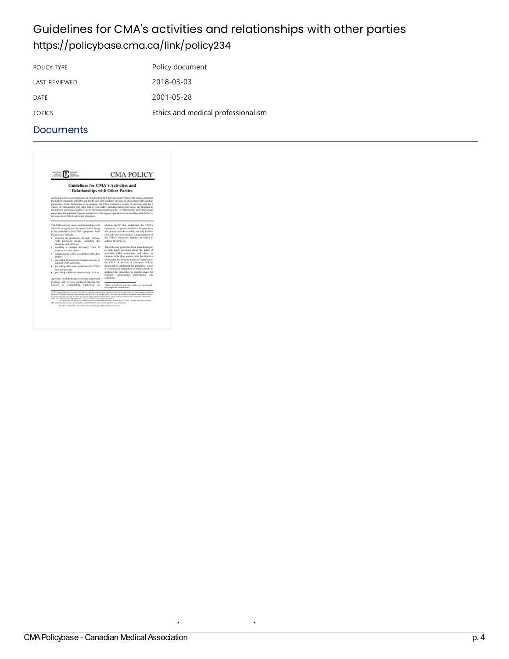### Guidelines for CMA's activities and relationships with other parties <https://policybase.cma.ca/link/policy234>

| POLICY TYPE          | Policy document                    |
|----------------------|------------------------------------|
| <b>LAST REVIEWED</b> | 2018-03-03                         |
| <b>DATE</b>          | 2001-05-28                         |
| <b>TOPICS</b>        | Ethics and medical professionalism |

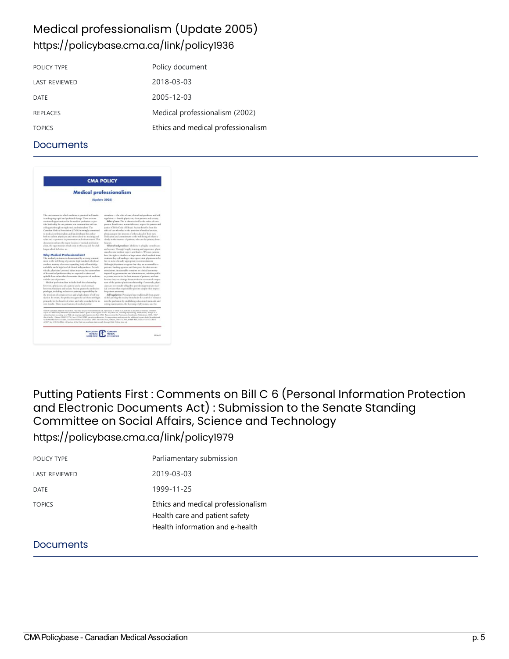### Medical professionalism (Update 2005) <https://policybase.cma.ca/link/policy1936>

| POLICY TYPE          | Policy document                    |
|----------------------|------------------------------------|
| <b>LAST REVIEWED</b> | 2018-03-03                         |
| DATE                 | 2005-12-03                         |
| <b>REPLACES</b>      | Medical professionalism (2002)     |
| <b>TOPICS</b>        | Ethics and medical professionalism |

#### **Documents**

| <b>CMA POLICY</b><br><b>Medical professionalism</b>                                                                                                                                                                                                                                                                                                                                                                                                                                                                                                                                                                                                                                                                                                                                                                                                                                                                            |                                                                                                                                                                                                                                                                                                             |               |
|--------------------------------------------------------------------------------------------------------------------------------------------------------------------------------------------------------------------------------------------------------------------------------------------------------------------------------------------------------------------------------------------------------------------------------------------------------------------------------------------------------------------------------------------------------------------------------------------------------------------------------------------------------------------------------------------------------------------------------------------------------------------------------------------------------------------------------------------------------------------------------------------------------------------------------|-------------------------------------------------------------------------------------------------------------------------------------------------------------------------------------------------------------------------------------------------------------------------------------------------------------|---------------|
|                                                                                                                                                                                                                                                                                                                                                                                                                                                                                                                                                                                                                                                                                                                                                                                                                                                                                                                                |                                                                                                                                                                                                                                                                                                             | (Update 2005) |
| The revisions are at which medicine is practiced in Canada.<br>is undergring rapid and professed charge. There are now<br>continued opportunities for the randical profession to pre-<br>vide leadership for our patients, our communities and our<br>unling an through strengthened professionalism. The                                                                                                                                                                                                                                                                                                                                                                                                                                                                                                                                                                                                                      | sendore - the ethic of car, closud independence and self-<br>regulation -- buscilit physicians, their patients and muster-<br>Ethic of care. This is characterized by the values of com-<br>paratra, bondurna, amenabbutna, atquirino person and<br>parties (CMA's Cask of Esbac). Society bookits from the |               |
| Canadras Medical Accessories (CMA) is strongly commented.<br>to prodoal professionalism and has developed this pulsay.<br>buth to inform physicians and others about its meaning and<br>value and represente in parameters and reduncement. This                                                                                                                                                                                                                                                                                                                                                                                                                                                                                                                                                                                                                                                                               | relate of care whendoy, in the previous of medical arctices.<br>elevisions can the interest of relates about of their teen.<br>Dedication and commitment to the well-being of others is<br>dually in the interest of partners, who are the primary bene-                                                    |               |
| decomer radius the regre feature of ranked porfesion.<br>alon, the opportunities which your in this area and the chal-<br>langua selezis la balona un.                                                                                                                                                                                                                                                                                                                                                                                                                                                                                                                                                                                                                                                                                                                                                                         | <b>Guiarico</b><br>Clinical independence: Medicine is a highly complex are<br>and nivear. Though loopler training and reportional, physi-<br>isen browe replied report and lealers. Wherea parame-                                                                                                          |               |
| Why Medical Professionalism?<br>The model profession is diamonized by a recorg commit-<br>mon to the well-being of patterns, high standards of educal                                                                                                                                                                                                                                                                                                                                                                                                                                                                                                                                                                                                                                                                                                                                                                          | have the right to devide to a large extent which resulted in ter-<br>strations shap will undergo, they expect their playmians to be<br>fee to make clinically appropriate economicalations.                                                                                                                 |               |
| conduct, manny of an evening aciding body of knowledge.<br>and skills, and a high level of climaal independence. As indi-<br>viduals plymates' permuti salues may very but as mondage                                                                                                                                                                                                                                                                                                                                                                                                                                                                                                                                                                                                                                                                                                                                          | Although physicians margeter that they are accessible to<br>patients. Earding agencies and their poors for their monte-<br>revolutions, carassocially corraints we denied actomine-                                                                                                                         |               |
| of the readized profession they are represent to share and<br>ophold durated art that characterize the practice of medicine<br>and the care of partners.                                                                                                                                                                                                                                                                                                                                                                                                                                                                                                                                                                                                                                                                                                                                                                       | inguraal by geometricity and administrators, whether public-<br>reprison, are not to the box interests of passent, we have                                                                                                                                                                                  |               |
| Medical professionalism includes both the relationship<br>between a physician and a patient and a costal contract<br>between playacians and streety. Sociony grants the professions<br>printiger, including exclusive as primary represidedry for                                                                                                                                                                                                                                                                                                                                                                                                                                                                                                                                                                                                                                                                              | broader they can damage the twart that is an extensial compa-<br>rano of the patient physician relationship. Conservals, physic<br>currence was not merely ablested to provide insperiosystem med-<br>ical xervices when cognisied by patterns despite their mapper.<br>for patient attorneys               |               |
| the provision of costain arenters and a high degree of self-reg-<br>silation. In return, the profession agrees to use these privileges.<br>pointedly for the bounder of others and only secondarily for its                                                                                                                                                                                                                                                                                                                                                                                                                                                                                                                                                                                                                                                                                                                    | Suffregulation Physician have malatonally hom grant-<br>all this pinnings by mainty. It istulades the control of restaurant<br>ture the professor by an ablabang educational standards and                                                                                                                  |               |
| ons londs. Then major frames of molecul porter-<br>CODOR Consultan Madical Aucasiation. You may, he just reaccurrenced use, sepindum, in tabale or in just and in any face or season; indepited<br>equips of CMA Peley Statements proteduli that readit is given to burinington muchs. Any other car, including equilibility, such to be appear in a<br>selected quites or pushing on a Web Life respires amplicit passizulus from CASE. Beaca contact the Penntucints Coordinates: Fabilitations, CMA, 1897.<br>(By Viet Dr., Oleans ON 81 D 2V), has a 13 04 2002, parmistics democrations in Comparatives and respons for selectional impies should be edificient<br>to the Member Service Carrier, Canadian Abelend Jouannatics, 1837 Alex Pale Drive, Ohiosa, ON 1737 211; Al 888 810 2110 (19) 1721-8112<br>(2007) has a 12 224-8344. All polices of the CMA are available attentionizely through CMM Clockes (even call | sering maninations, the looming of pleyestans, and the                                                                                                                                                                                                                                                      |               |

Putting Patients First : Comments on Bill C 6 (Personal Information Protection and Electronic Documents Act) : Submission to the Senate Standing Committee on Social Affairs, Science and Technology <https://policybase.cma.ca/link/policy1979>

| POLICY TYPE          | Parliamentary submission                                                                                |
|----------------------|---------------------------------------------------------------------------------------------------------|
| <b>LAST REVIEWED</b> | 2019-03-03                                                                                              |
| DATE                 | 1999-11-25                                                                                              |
| <b>TOPICS</b>        | Ethics and medical professionalism<br>Health care and patient safety<br>Health information and e-health |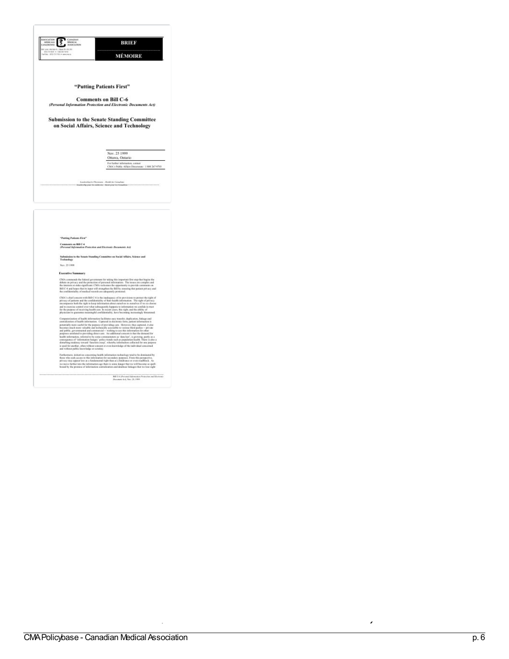| THE - RTECTION + 04                                                                             | <b>MÉMOIRE</b>                                                                                                                                                                                                                                                                                                                                                                                                                                                                                                                                                                                                                                                                                                                                                                                                                                       |  |
|-------------------------------------------------------------------------------------------------|------------------------------------------------------------------------------------------------------------------------------------------------------------------------------------------------------------------------------------------------------------------------------------------------------------------------------------------------------------------------------------------------------------------------------------------------------------------------------------------------------------------------------------------------------------------------------------------------------------------------------------------------------------------------------------------------------------------------------------------------------------------------------------------------------------------------------------------------------|--|
|                                                                                                 | "Putting Patients First"                                                                                                                                                                                                                                                                                                                                                                                                                                                                                                                                                                                                                                                                                                                                                                                                                             |  |
|                                                                                                 | <b>Comments on Bill C-6</b>                                                                                                                                                                                                                                                                                                                                                                                                                                                                                                                                                                                                                                                                                                                                                                                                                          |  |
|                                                                                                 | (Personal Information Protection and Electronic Documents Act)                                                                                                                                                                                                                                                                                                                                                                                                                                                                                                                                                                                                                                                                                                                                                                                       |  |
| <b>Submission to the Senate Standing Committee</b><br>on Social Affairs, Science and Technology |                                                                                                                                                                                                                                                                                                                                                                                                                                                                                                                                                                                                                                                                                                                                                                                                                                                      |  |
|                                                                                                 | Nov. 25 1999                                                                                                                                                                                                                                                                                                                                                                                                                                                                                                                                                                                                                                                                                                                                                                                                                                         |  |
|                                                                                                 | Ottawa, Outario                                                                                                                                                                                                                                                                                                                                                                                                                                                                                                                                                                                                                                                                                                                                                                                                                                      |  |
|                                                                                                 | For further information, contact<br>CMA's Public Affairs Dispensate: 1880 287-9703.                                                                                                                                                                                                                                                                                                                                                                                                                                                                                                                                                                                                                                                                                                                                                                  |  |
|                                                                                                 |                                                                                                                                                                                                                                                                                                                                                                                                                                                                                                                                                                                                                                                                                                                                                                                                                                                      |  |
| "Putting Patients First"                                                                        |                                                                                                                                                                                                                                                                                                                                                                                                                                                                                                                                                                                                                                                                                                                                                                                                                                                      |  |
|                                                                                                 |                                                                                                                                                                                                                                                                                                                                                                                                                                                                                                                                                                                                                                                                                                                                                                                                                                                      |  |
| Comments on Bill C-6<br>(Personal Information Protection and Electronic Decembers Act)          |                                                                                                                                                                                                                                                                                                                                                                                                                                                                                                                                                                                                                                                                                                                                                                                                                                                      |  |
|                                                                                                 | Submission to the Senate Standing Committee on Social Affairs, Science and<br>Technology                                                                                                                                                                                                                                                                                                                                                                                                                                                                                                                                                                                                                                                                                                                                                             |  |
| Nav. 25 1999                                                                                    |                                                                                                                                                                                                                                                                                                                                                                                                                                                                                                                                                                                                                                                                                                                                                                                                                                                      |  |
| <b>Executive Summary</b>                                                                        |                                                                                                                                                                                                                                                                                                                                                                                                                                                                                                                                                                                                                                                                                                                                                                                                                                                      |  |
| the confidentiality of medical records are adoquately protested.                                | CMA commends the foleral government for taking this important first step that begins the<br>debate on privacy and the pretection of personal information. The issues are complex and<br>the interests at stake significant. CMA welcomes the opportunity to provide comments on<br>Bill C-6 and hopes that its lapar will strengthen the Bill by assuring that patient privacy and                                                                                                                                                                                                                                                                                                                                                                                                                                                                   |  |
|                                                                                                 | CMA's chief concern with Bill C-6 is the inadequacy of its provisions to protect the right of<br>privacy of patients and the confidentiality of their bealth information. The right of privacy<br>encompasses both the right to keep information about sums lyst to standbox if we so choose<br>ad to exercise control ever what subsequently happens to information we confide in trast<br>for the perpose of receiving bealth case. In secont years, this right, and the ability of<br>physicians to guarantee meaningful confidentiality, have becoming increasingly threatened.                                                                                                                                                                                                                                                                  |  |
| and without public knowledge or scrutiny.                                                       | Computerization of boalth information facilitates only transfer, deplication, liabage and<br>controlization of boalth information. Captured in electronic form, patient information is<br>potentially more useful for the purpose of previding cars. However, thus captured, it also<br>becomes much more valuable and technically accessible to various fitted parks: $-$ private and public, geometrical and communical $-$ with the state of the state of the state of the state of the state of the state of the<br>health information, referred to by some commentators as 'data leaf', is growing, partly as a consequence of "information bangry" policy temperature in partly as a<br>consequence of "information bangry" policy temperature and<br>is used for another, often without consume or aven knowledge of the individual concerned |  |

 $\label{eq:R1} \begin{minipage}{0.9\linewidth} \textbf{RIC} & \textbf{P}{\textbf{recom}} \\ \textbf{RIC} & \textbf{P}{\textbf{recom}} \\ \textbf{D}{\textbf{recom}} & \textbf{A}{\textbf{e}_{1}} \\ \textbf{N}{\textbf{e}_{2}} & \textbf{R.} \\ \textbf{P}{\textbf{e}_{3}} & \textbf{R.} \\ \textbf{P}{\textbf{e}_{4}} & \textbf{R.} \\ \textbf{P}{\textbf{e}_{5}} & \textbf{R.} \\ \textbf{P}{\textbf{e}_{6}} & \textbf{R.} \\ \textbf{P}{\textbf{e$ 

n <u>c</u> ern

s : C o m m e nts o n

Bill C

5 4  $\epsilon$ P ers o n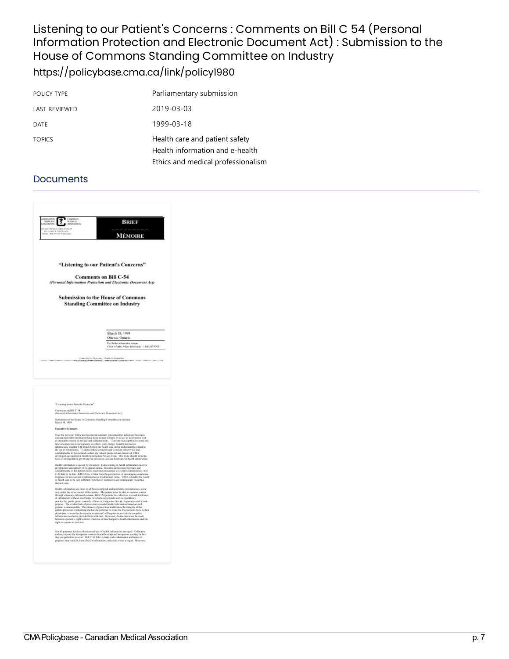### Listening to our Patient's Concerns : Comments on Bill C 54 (Personal Information Protection and Electronic Document Act) : Submission to the House of Commons Standing Committee on Industry <https://policybase.cma.ca/link/policy1980>

| POLICY TYPE   | Parliamentary submission                                                                                |
|---------------|---------------------------------------------------------------------------------------------------------|
| LAST REVIEWED | 2019-03-03                                                                                              |
| <b>DATE</b>   | 1999-03-18                                                                                              |
| <b>TOPICS</b> | Health care and patient safety<br>Health information and e-health<br>Ethics and medical professionalism |

| <b>OCMERIS</b><br>MITRE NER<br>CONMISSION<br>MEDICAL<br>ASSOCIATION<br>₹<br><b>HAGED</b>                       | BRIEF                                                                                                                                                                                                                                                                                                                                                                                                                                                                                                                                                                                                                                                                                                                                                                                                                                                                                                                                  |
|----------------------------------------------------------------------------------------------------------------|----------------------------------------------------------------------------------------------------------------------------------------------------------------------------------------------------------------------------------------------------------------------------------------------------------------------------------------------------------------------------------------------------------------------------------------------------------------------------------------------------------------------------------------------------------------------------------------------------------------------------------------------------------------------------------------------------------------------------------------------------------------------------------------------------------------------------------------------------------------------------------------------------------------------------------------|
| Si provi em Hencle Jóthan DV en 2016<br>Intel ren 900 - 4 1 minuter 9000<br>Artiko - Jesti cirkitén - samonnoù | <b>MÉMOIRE</b>                                                                                                                                                                                                                                                                                                                                                                                                                                                                                                                                                                                                                                                                                                                                                                                                                                                                                                                         |
|                                                                                                                |                                                                                                                                                                                                                                                                                                                                                                                                                                                                                                                                                                                                                                                                                                                                                                                                                                                                                                                                        |
|                                                                                                                | "Listening to our Patient's Concerns"                                                                                                                                                                                                                                                                                                                                                                                                                                                                                                                                                                                                                                                                                                                                                                                                                                                                                                  |
|                                                                                                                | <b>Comments on Bill C-54</b><br>(Personal Information Protection and Electronic Document Act)                                                                                                                                                                                                                                                                                                                                                                                                                                                                                                                                                                                                                                                                                                                                                                                                                                          |
|                                                                                                                | <b>Submission to the House of Commons</b><br><b>Standing Committee on Industry</b>                                                                                                                                                                                                                                                                                                                                                                                                                                                                                                                                                                                                                                                                                                                                                                                                                                                     |
|                                                                                                                | March 18, 1999                                                                                                                                                                                                                                                                                                                                                                                                                                                                                                                                                                                                                                                                                                                                                                                                                                                                                                                         |
|                                                                                                                | Ottawa, Ontario<br>For further information, contact                                                                                                                                                                                                                                                                                                                                                                                                                                                                                                                                                                                                                                                                                                                                                                                                                                                                                    |
|                                                                                                                | CMA's Public Affairs Discounts: 1 800 267-9703                                                                                                                                                                                                                                                                                                                                                                                                                                                                                                                                                                                                                                                                                                                                                                                                                                                                                         |
|                                                                                                                |                                                                                                                                                                                                                                                                                                                                                                                                                                                                                                                                                                                                                                                                                                                                                                                                                                                                                                                                        |
| "Listening to our Patient's Concorns"                                                                          |                                                                                                                                                                                                                                                                                                                                                                                                                                                                                                                                                                                                                                                                                                                                                                                                                                                                                                                                        |
| Commercion Bill C 54<br>(Personal Information Pretection and Electronic Destaturar Act)                        |                                                                                                                                                                                                                                                                                                                                                                                                                                                                                                                                                                                                                                                                                                                                                                                                                                                                                                                                        |
| March 18, 1999                                                                                                 | Submission to the House of Commons Standing Committee on Industry                                                                                                                                                                                                                                                                                                                                                                                                                                                                                                                                                                                                                                                                                                                                                                                                                                                                      |
| Executive Summary                                                                                              | Over the last year, CMA has become increasingly, conserved that debate on the issues<br>concerning bealth information have been framed in terms of access to information with<br>an attendant crossion of privacy and confidentialit<br>tings of expansion in our especity to collect, store, morge, transfer and access<br>information, coupled with meads both in the health care sector and generally related to the use of information. To address those concerns and to means that privacy and<br>confidentiality in the medical context are valued, premeted and preserved, CMA<br>developed and adopted a Health Information Privacy Code. This Code should form the<br>basis of all legislation governing the collection, use and disclosure of health information.                                                                                                                                                            |
| distinct rules.                                                                                                | Health information is special by its noture. Releves lating to health information o<br>suanti concentante es special eya incomercial constructions of privacy and<br>developed in recognition of its operal numerials from region considerations. But<br>confidentially of the patient record mastrake precedence over othe<br>of bashb care to be very different from that of contractic and consequently requiring                                                                                                                                                                                                                                                                                                                                                                                                                                                                                                                   |
| right to consumt to such use.                                                                                  | calth information use must, in all but exceptional and justifiable circumstances, ocean<br>only under the strict countel of the patient. The patient must be able to counties control through reduntary, informed consent. Bill C-54 permits the collection, use and disclosure<br>of information without knowledge or consent on grounds such as expediency.<br>practicality, judslic good, resumely, official investigation, bioteck importance and artistic spaces. The ovident lack of protection seconded health interaction such a grounds of an action of the absence of the absence of<br>micut-physician relationship and has the potential to eredo the trast patients have in their<br>physicians - a trust that is concertal to parlorse ' will ingeness to provide the complete<br>information membel to provide them with care. Memorem, distinctions must be made<br>between a parliam's right to know what can or must |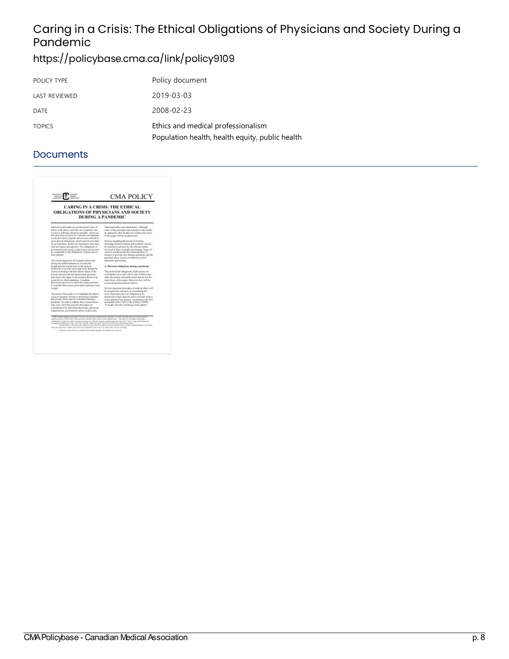# Caring in a Crisis: The Ethical Obligations of Physicians and Society During a Pandemic

### <https://policybase.cma.ca/link/policy9109>

| POLICY TYPE          | Policy document                                                                       |
|----------------------|---------------------------------------------------------------------------------------|
| <b>LAST REVIEWED</b> | 2019-03-03                                                                            |
| DATE                 | 2008-02-23                                                                            |
| <b>TOPICS</b>        | Ethics and medical professionalism<br>Population health, health equity, public health |

| <b>ABOGKBOO</b><br>essa<br><b>MENGEE</b><br>MISCAL<br>COULEROL<br>MINICARTER                                                                                                                                                                                                                                                                                                                                                                                                                                                                                                                                                                                | <b>CMA POLICY</b>                                                                                                                                                                                       |
|-------------------------------------------------------------------------------------------------------------------------------------------------------------------------------------------------------------------------------------------------------------------------------------------------------------------------------------------------------------------------------------------------------------------------------------------------------------------------------------------------------------------------------------------------------------------------------------------------------------------------------------------------------------|---------------------------------------------------------------------------------------------------------------------------------------------------------------------------------------------------------|
|                                                                                                                                                                                                                                                                                                                                                                                                                                                                                                                                                                                                                                                             | <b>CARING IN A CRISIS: THE ETHICAL</b><br><b>OBLIGATIONS OF PHYSICIANS AND SOCIETY</b><br><b>DURING A PANDEMIC</b>                                                                                      |
| Inhorest in all bealth cars prefereional Cades of<br>Ethics is the duty to provide care to patients and<br>to relieve suffering whoserup peoplike. However,<br>this clots does not exist in a vacuum, and depends.                                                                                                                                                                                                                                                                                                                                                                                                                                          | interested bodies and stakeholders. Although<br>water of the rejaciples and concepts could readily<br>be applied to other bealth cars workers, the front-<br>of this paper will be on physicians.       |
| an the pravision of goods and services referred to<br>as reciprocal abligations, which must be paterided<br>by governments, health case institutions and other<br>relevant backet and agencies. The obligations of                                                                                                                                                                                                                                                                                                                                                                                                                                          | Policies regarding physicians in training,<br>including medical students and teridents, should<br>he clasified in advance by the relevant bodies                                                        |
| government and society to physicians can be seen.<br>as comparable to the obligations of physicians to<br>their patients.                                                                                                                                                                                                                                                                                                                                                                                                                                                                                                                                   | In someling in the shipleys visit a devices<br>bo real feliocecon will site fact ident research<br>trainees to pievide cure daring a poscherac and the<br>potential affect of each an outbreak on their |
| The record experience of Canadian physicians<br>during the SARS emidency in Torrente has<br>briefstead the sensityings of the modeal                                                                                                                                                                                                                                                                                                                                                                                                                                                                                                                        | education and training.<br>A. Physician ebligations during a pandomic                                                                                                                                   |
| profession to several issues that areas during the                                                                                                                                                                                                                                                                                                                                                                                                                                                                                                                                                                                                          |                                                                                                                                                                                                         |
| reurse of doding with that illness. Many of the<br>lessons learned tand the unanowaved questions.                                                                                                                                                                                                                                                                                                                                                                                                                                                                                                                                                           | The preferriated abligations of physicians are<br>Las, railed out in the CMA Cask of Ethics and                                                                                                         |
| that arous) also apply to the looming threat of an-                                                                                                                                                                                                                                                                                                                                                                                                                                                                                                                                                                                                         | off ton out and publications and no more value                                                                                                                                                          |
| avian flat for ether) panderate. Canadian                                                                                                                                                                                                                                                                                                                                                                                                                                                                                                                                                                                                                   | main facus of this paper. However, they will be                                                                                                                                                         |
| physicians racy be in a relatively smigue position.<br>to consider these issues given their experience and                                                                                                                                                                                                                                                                                                                                                                                                                                                                                                                                                  | resigned and discussed as follows.                                                                                                                                                                      |
| inida.                                                                                                                                                                                                                                                                                                                                                                                                                                                                                                                                                                                                                                                      | Several important principles of medical ethics will                                                                                                                                                     |
|                                                                                                                                                                                                                                                                                                                                                                                                                                                                                                                                                                                                                                                             | be at particular relevance in considering this                                                                                                                                                          |
| The intent of this policy is to highlight the othical                                                                                                                                                                                                                                                                                                                                                                                                                                                                                                                                                                                                       | iesta. Physicians have an eldigation to be                                                                                                                                                              |
| initiated of presented company to relacticing Chandisas.<br>phenicians which must be considered during a                                                                                                                                                                                                                                                                                                                                                                                                                                                                                                                                                    | beneficial to their nations, and to consider what is<br>in the national vibest interest. According to the first-                                                                                        |
| nandomic. In order to address these issues before-                                                                                                                                                                                                                                                                                                                                                                                                                                                                                                                                                                                                          | patagraph of the CMA Code of Ethics (2004).                                                                                                                                                             |
| they arise, the CMA passents this paper for                                                                                                                                                                                                                                                                                                                                                                                                                                                                                                                                                                                                                 | "Consider first the well-being of the potion".                                                                                                                                                          |
| consideration by individual physicians, physician                                                                                                                                                                                                                                                                                                                                                                                                                                                                                                                                                                                                           |                                                                                                                                                                                                         |
| regardizations, governments, policy makers and                                                                                                                                                                                                                                                                                                                                                                                                                                                                                                                                                                                                              |                                                                                                                                                                                                         |
| C 2001 Cotadius Madical Accordation. Two tags, for your non-connected successful are at their or in particular only form or insuran-<br>entimized aspire of Chick Policy Nationwide provided that strate is given as the original exists a . Any ethnical animalize strakeding syndricializes<br>solutionists to up to enter a control center of product on participate the security of the control of the Process control the Premium of<br>Combany Publications ("MA, 1967-Mos Visually, Opposition CALIFY-CALIFY-1947-2012-approximations.com<br>1487 A.M. Vian Drive, Onersa (84) \$2.61 PVs, winner \$11,2410 at \$21.700 AASH (2007) Go \$12 216 AMA. | Currentment out expans for subtrimet explor stoold by adenticated the Hamber Service Creme. Canadian Medical Association.                                                                               |
| All mining of the CMA are confuder changes ally through CMA (indicate experiences).                                                                                                                                                                                                                                                                                                                                                                                                                                                                                                                                                                         |                                                                                                                                                                                                         |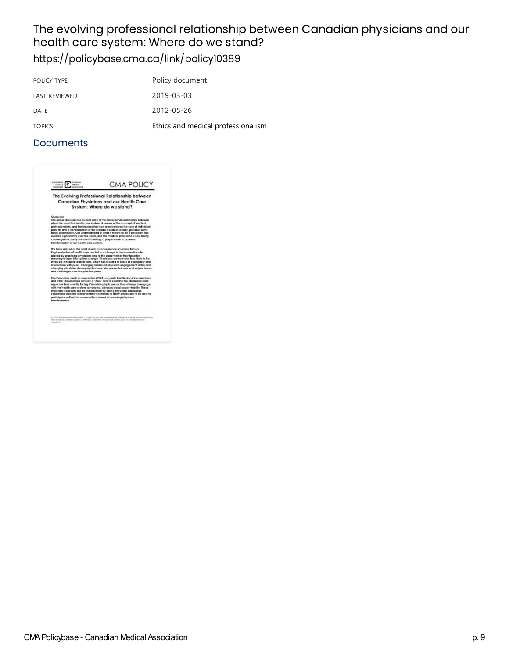# The evolving professional relationship between Canadian physicians and our health care system: Where do we stand?

# <https://policybase.cma.ca/link/policy10389>

| Policy document                    |
|------------------------------------|
| 2019-03-03                         |
| 2012-05-26                         |
| Ethics and medical professionalism |
|                                    |

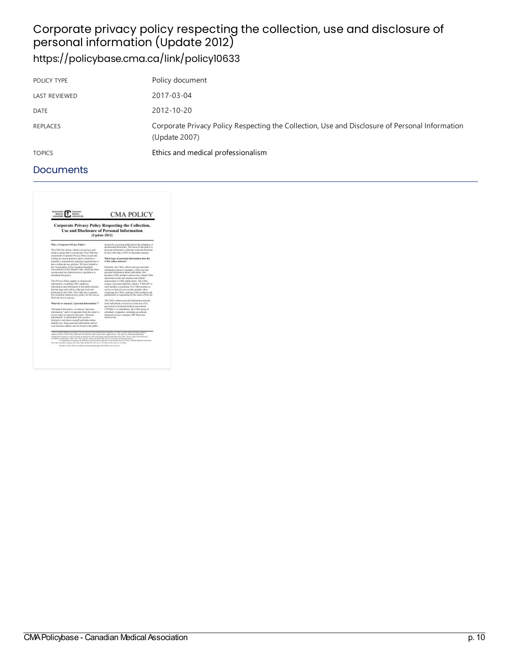# Corporate privacy policy respecting the collection, use and disclosure of personal information(Update2012)

# <https://policybase.cma.ca/link/policy10633>

| POLICY TYPE          | Policy document                                                                                                 |
|----------------------|-----------------------------------------------------------------------------------------------------------------|
| <b>LAST REVIEWED</b> | 2017-03-04                                                                                                      |
| <b>DATE</b>          | 2012-10-20                                                                                                      |
| REPLACES             | Corporate Privacy Policy Respecting the Collection, Use and Disclosure of Personal Information<br>(Update 2007) |
| <b>TOPICS</b>        | Ethics and medical professionalism                                                                              |

| Why a Curporate Privacy Policy?                                                                        | domain by accessing publications like telephone or<br>preferenced directories. The focus of this policy is |
|--------------------------------------------------------------------------------------------------------|------------------------------------------------------------------------------------------------------------|
| The CMA has abuses valued your paintery and                                                            | figure last figure and detailling no dependent fagoresa.                                                   |
| actual to ensure that it is protected. The CMA has<br>anaeted this Comunity Privacy Policy to put into | by the CMA that is NOT in the public durants.                                                              |
| without its current practices and to confirm to                                                        | What types of personal information does the                                                                |
| logicial re-requirements socialize organizations to                                                    | CMA collect and war?                                                                                       |
| lary written wivery reduing. We have looked to                                                         |                                                                                                            |
| the 18 principles of the Consulies Standards<br>Association's (CSA) Medal Code, which has been         | Primarily, the CMA collects and uses percent<br>information about its members. CMA also has                |
| incorporated into finitesal primacy largisdation, ta-                                                  | economic information about individuals who                                                                 |
| formulate this policy.                                                                                 | piatchase CMA products and services, attend CMA                                                            |
|                                                                                                        | sponsored creers and saminars and submit                                                                   |
| This Prinace Policy goglies to all personal                                                            | manuscripts to CMA publications. The CMA                                                                   |
| information, studeding CMA outsioned                                                                   | assigns a personal identifier called a "CMA ID" ta-                                                        |
| information and information in the public domain.                                                      | rack member or equiliarer of a CMA revoluti or                                                             |
| fuel has been and will be callected, excel and                                                         | service so that you can use this matther when                                                              |
| disployed by the CMA. The CMA has a superint-<br>but consistent online privacy policy for the causas   | contacting the CMA, endering CMA medicate and<br>publications or registering first he emission Web site.   |
| Wich side Form'n cline pair.                                                                           |                                                                                                            |
|                                                                                                        | The CMA culture presental information directly                                                             |
| What do we mean by "personal information"?                                                             | from individuals or meet over from me of its<br>previncial or territorial medical associations             |
| Threathest this rolling, no discuss "personal                                                          | <b>CFTMAC</b> for subsidiaries, the CMA genus of                                                           |
| information," and it is innocted from the super to-                                                    | subsidiary companies, including our primary                                                                |
| set out what we mean by this toys. "Personal<br>information" is information that reveals a             | financial services contrasts. MD Physician<br>Sarvices Enc.                                                |
| distinctive trait about vesseed and helps others.                                                      |                                                                                                            |
| ichenity yes, Some personal information such as                                                        |                                                                                                            |
| your business additest may be fix ad in the public                                                     |                                                                                                            |
|                                                                                                        |                                                                                                            |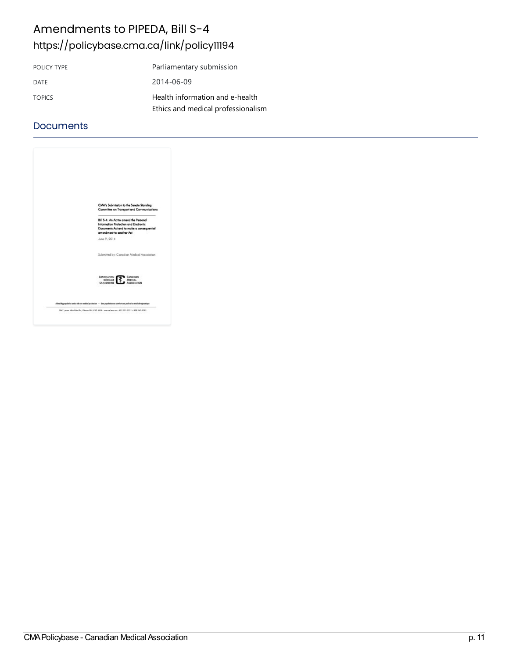### Amendments to PIPEDA, Bill S-4 <https://policybase.cma.ca/link/policy11194>

| POLICY TYPE   | Parliamentary submission           |
|---------------|------------------------------------|
| DATE          | 2014-06-09                         |
| <b>TOPICS</b> | Health information and e-health    |
|               | Ethics and medical professionalism |

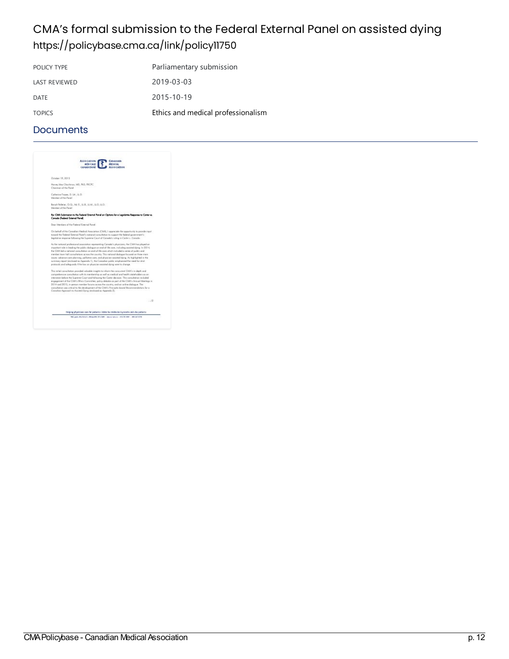### CMA's formal submission to the Federal External Panel on assisted dying <https://policybase.cma.ca/link/policy11750>

| POLICY TYPE          | Parliamentary submission           |
|----------------------|------------------------------------|
| <b>LAST REVIEWED</b> | 2019-03-03                         |
| DATE                 | 2015-10-19                         |
| <b>TOPICS</b>        | Ethics and medical professionalism |

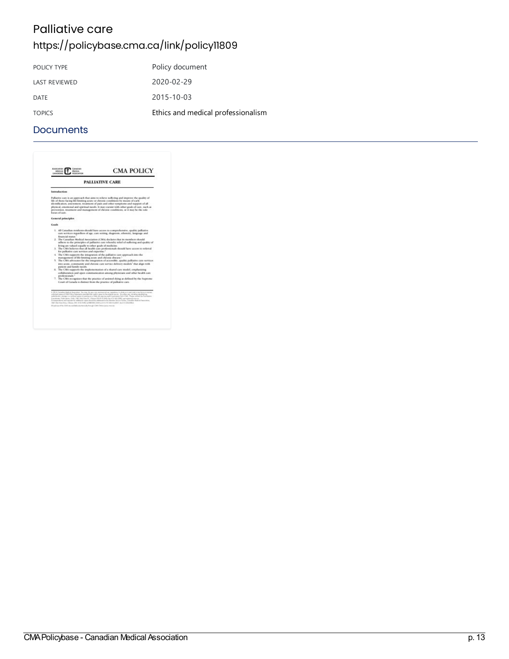# Palliative care

# <https://policybase.cma.ca/link/policy11809>

| POLICY TYPE          | Policy document                    |
|----------------------|------------------------------------|
| <b>LAST REVIEWED</b> | 2020-02-29                         |
| DATE                 | 2015-10-03                         |
| <b>TOPICS</b>        | Ethics and medical professionalism |
|                      |                                    |

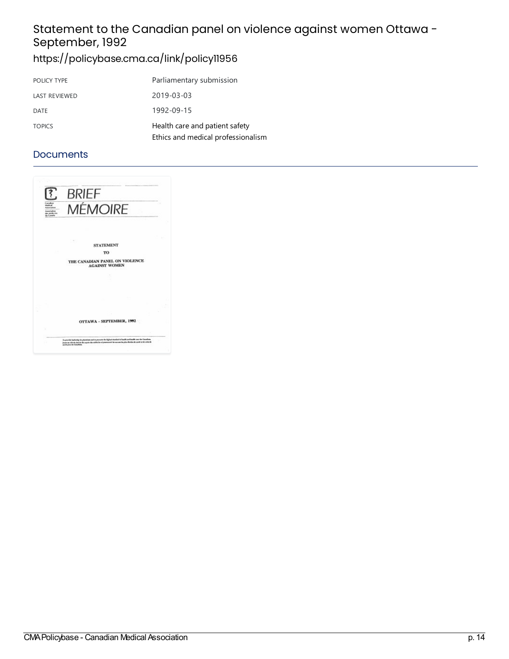# Statement to the Canadian panel on violence against women Ottawa -September, 1992

# <https://policybase.cma.ca/link/policy11956>

| POLICY TYPE          | Parliamentary submission                                             |
|----------------------|----------------------------------------------------------------------|
| <b>LAST REVIEWED</b> | 2019-03-03                                                           |
| DATE                 | 1992-09-15                                                           |
| <b>TOPICS</b>        | Health care and patient safety<br>Ethics and medical professionalism |
|                      |                                                                      |

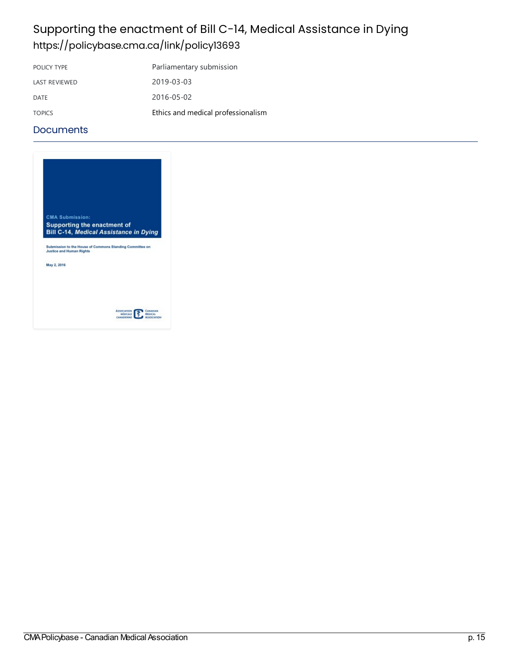### Supporting the enactment of Bill C-14, Medical Assistance in Dying <https://policybase.cma.ca/link/policy13693>

| Ethics and medical professionalism |
|------------------------------------|
|                                    |

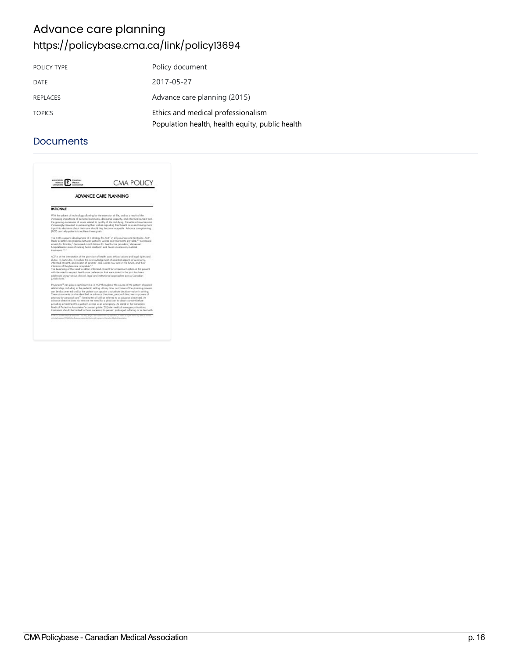### Advance care planning <https://policybase.cma.ca/link/policy13694>

| POLICY TYPE     | Policy document                                 |
|-----------------|-------------------------------------------------|
| DATE            | 2017-05-27                                      |
| <b>REPLACES</b> | Advance care planning (2015)                    |
| <b>TOPICS</b>   | Ethics and medical professionalism              |
|                 | Population health, health equity, public health |

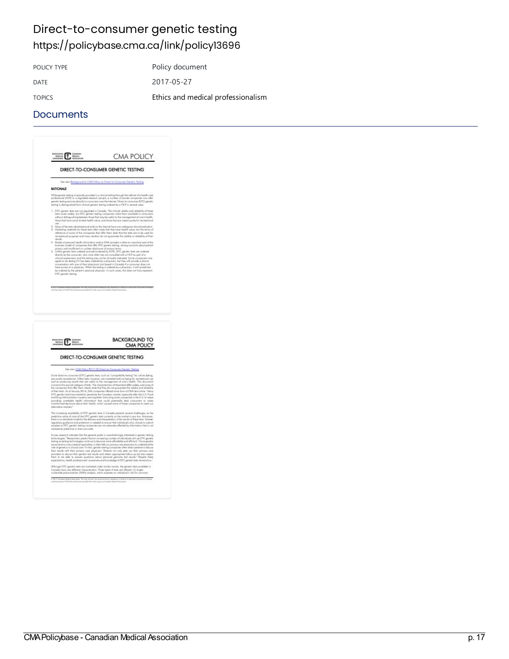### Direct-to-consumer genetic testing <https://policybase.cma.ca/link/policy13696>

POLICY TYPE POLICY TYPE

DATE 2017-05-27

TOPICS Ethics and medical [professionalism](https://policybase.cma.ca/list?q=topic%253A%2522Ethics%20and%20medical%20professionalism%2522&p=1&ps=&sort=title_sort%20asc)

|      | DIRECT-TO-CONSUMER GENETIC TESTING                                                                                                                                                                                                                                                                                                                                                                                                                                                                                                                                                                                                                                                                                                                                                                                                                                                                                                                                                                                                                                                                                     |  |  |
|------|------------------------------------------------------------------------------------------------------------------------------------------------------------------------------------------------------------------------------------------------------------------------------------------------------------------------------------------------------------------------------------------------------------------------------------------------------------------------------------------------------------------------------------------------------------------------------------------------------------------------------------------------------------------------------------------------------------------------------------------------------------------------------------------------------------------------------------------------------------------------------------------------------------------------------------------------------------------------------------------------------------------------------------------------------------------------------------------------------------------------|--|--|
|      | See also Background to CMA Policy on Direct-to-Consumer Genetic Testing                                                                                                                                                                                                                                                                                                                                                                                                                                                                                                                                                                                                                                                                                                                                                                                                                                                                                                                                                                                                                                                |  |  |
|      | <b>RATIONALE</b>                                                                                                                                                                                                                                                                                                                                                                                                                                                                                                                                                                                                                                                                                                                                                                                                                                                                                                                                                                                                                                                                                                       |  |  |
|      | .<br>While genetic testing is typically provided in a clinical setting through the referral of a health case.<br>professional (HCP) or a regulated research project, a number of private companies now offer<br>penetic testing ser<br>ces directly to consumers over the Internet. Direct-to-consumer (DTC) genetic<br>testing is distinguished from clinical genetic testing andered by a HCP in several ways                                                                                                                                                                                                                                                                                                                                                                                                                                                                                                                                                                                                                                                                                                        |  |  |
|      | agulated in Conada. The clinical validity and reliability of frees-<br>1. DTC genetic tests are a<br>bette varies widely, but DTC genetic testing companies make them available to consumers<br>without distinguishing between those that may be useful to the management of one's healty<br>those that have some limited bealth value, and those that are meant purely for recreational                                                                                                                                                                                                                                                                                                                                                                                                                                                                                                                                                                                                                                                                                                                               |  |  |
|      | Many of the tests adv-<br>ed and sold via the Internet have not undergo.<br>sa clinical escà<br>Marketing moterials for these tests often imply that they have health value, but the terms of<br>recreational purposes and many vendors do not guarantee the validity or reliability of their                                                                                                                                                                                                                                                                                                                                                                                                                                                                                                                                                                                                                                                                                                                                                                                                                          |  |  |
| 4.   | was be                                                                                                                                                                                                                                                                                                                                                                                                                                                                                                                                                                                                                                                                                                                                                                                                                                                                                                                                                                                                                                                                                                                 |  |  |
|      | Resale of personal health information and/or DNA samples is often an important part of the<br>business model of companies that offer DTC generic testing, solving concerns about parlier!<br>privacy and insufficient or undear diadosum of privacy rests.<br>5. Unlike genetic treats osdered and administered by HTCPs, private tests are ordered<br>6. Unlike genetic tests on a more after has not consulted with a HCP ox p<br>clinical assessment, and the testing may not be clinically instituted. So we companies only<br>agree to do testing if it has been ordered by a physician, but they will provide a phone<br>conversation with one of their physicians (not boxed in Consola) if a consumer does not have access to a physician. When the testing is ordered by a physician, it will sometime                                                                                                                                                                                                                                                                                                        |  |  |
|      | be a idered by the potient's personal physician. In ouch cases, this does not truly represent<br>DTC genetic testing.                                                                                                                                                                                                                                                                                                                                                                                                                                                                                                                                                                                                                                                                                                                                                                                                                                                                                                                                                                                                  |  |  |
|      |                                                                                                                                                                                                                                                                                                                                                                                                                                                                                                                                                                                                                                                                                                                                                                                                                                                                                                                                                                                                                                                                                                                        |  |  |
|      |                                                                                                                                                                                                                                                                                                                                                                                                                                                                                                                                                                                                                                                                                                                                                                                                                                                                                                                                                                                                                                                                                                                        |  |  |
|      | <b>BACKGROUND TO</b><br>AUGUSTON COMONA<br><b>CMA POLICY</b><br>DIRECT-TO-CONSUMER GENETIC TESTING<br>See also CMA Policy RD17-05 Direct-to-Consumer Genetic Testing<br>Some direct to consumer (DTC) genetic tests, such as "compatibility testing" for celline dating,<br>cre punity recreational. Other tests, however, are marketed both as being for recreational use<br>concerns this ancord company of tests. The characteristics of these tests differ widely, and some of<br>the companies that offer them clearly state that they do not guarantee the validity and reliability<br>of their tests. As of Jonusey 2016, 246 companies offered some form of DNA test astice." Many<br>DTC genetic tests have started to penetrate the Canadian market, especially after the U.S. Food<br>and Drug Administration issued a warning letter instructing some componies in the U.S. to cease<br>providing unmights hadth information that could potentially lead companies to make<br>misinformed decisions about their health, which coused some of these companies to seek out<br>abanative markets <sup>2</sup> |  |  |
|      | The increasing availability of DTC genetic tects in Canada presents several challenges, as the<br>the inclusions were mainly in the primary state currently on the market is very low. Monsover,<br>predictive value of most of the IPC, genetic tests currently on the mediat is very low. Monsover,<br>there is no standard model fo<br>ingulatory guidance and protection is needed to ensure that individuals who choose to submit<br>somples to DFC genetic testing companies are not subersely affected by information that is not<br>suarly predictive arreves accurate.                                                                                                                                                                                                                                                                                                                                                                                                                                                                                                                                        |  |  |
| prov | .<br>Sarinologies, "Researcher pedictribation isotable is overwhelmingly interested in genetic testing.<br>testing as testing technologies continue to become more difficulted using the same of the genetic.<br>testing as testing tec<br>issues tend to close medical specialise, it often folls on primary case physicians to understand the<br>sale of genetics in clinical care. "In fact, genetic testing companies often alies:t patients to slicuse<br>their results with their primary com physician. <sup>5</sup> Patients not only seek out their primary com<br>providers to discuss their genetic test results and obtain appropriate follow-up but also expect<br>them to be able to prevent guestions about personal genome test results." Despite these<br>expectations, health professionals' avereness and knowledge of DTC genetic tests remains low                                                                                                                                                                                                                                                |  |  |
|      | gh DTC gen<br>ric test are marketed under similar n<br>great, the genetic tests available in<br>Conada hove<br>.<br>Canada have vey different characteristics. Three types of tests ore offered: (1) single-<br>nucleotide polymorphism (SNPs) onalysis, which assesses on individual's risk for common                                                                                                                                                                                                                                                                                                                                                                                                                                                                                                                                                                                                                                                                                                                                                                                                                |  |  |
|      |                                                                                                                                                                                                                                                                                                                                                                                                                                                                                                                                                                                                                                                                                                                                                                                                                                                                                                                                                                                                                                                                                                                        |  |  |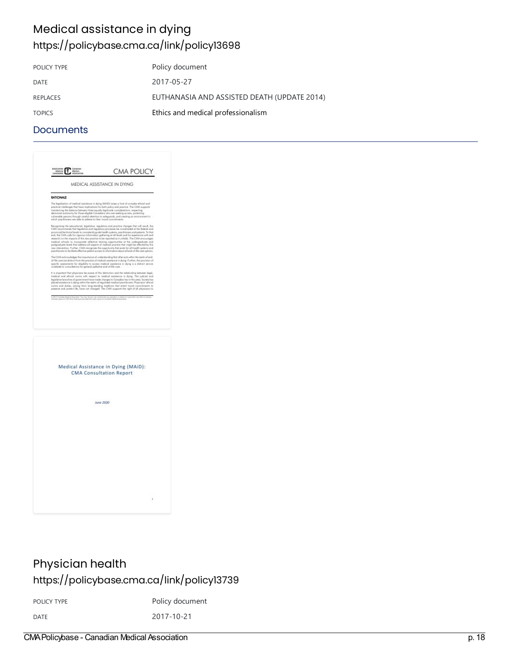### Medical assistance in dying <https://policybase.cma.ca/link/policy13698>

| Policy document                             |
|---------------------------------------------|
| 2017-05-27                                  |
| EUTHANASIA AND ASSISTED DEATH (UPDATE 2014) |
| Ethics and medical professionalism          |
|                                             |

#### **Documents**

| MEDICAL ASSISTANCE IN DYING<br>RATIONALE<br>The legalization of medical assistance in dying (MAZ)) raises a host of complex ethical and<br>practical challenges that have implications for both policy and practice. The CWA supports<br>maintaining the balance between these equally legitimate considerations: respecting<br>decisional autonomy for those eligible Concollans who are seeking access, protecting<br>sulnerable persons through coreful attention to safeguards, and creating an environment in which practitioness are able to aditere to their moral commitments.<br>Recognizing the aducational, legislative, regulatory and practice changes that will result, the behavior control in legislative and mapulatory processes are control of the behavior and processes provided behavior of provi |  |
|-------------------------------------------------------------------------------------------------------------------------------------------------------------------------------------------------------------------------------------------------------------------------------------------------------------------------------------------------------------------------------------------------------------------------------------------------------------------------------------------------------------------------------------------------------------------------------------------------------------------------------------------------------------------------------------------------------------------------------------------------------------------------------------------------------------------------|--|
|                                                                                                                                                                                                                                                                                                                                                                                                                                                                                                                                                                                                                                                                                                                                                                                                                         |  |
|                                                                                                                                                                                                                                                                                                                                                                                                                                                                                                                                                                                                                                                                                                                                                                                                                         |  |
|                                                                                                                                                                                                                                                                                                                                                                                                                                                                                                                                                                                                                                                                                                                                                                                                                         |  |
| reasonable in the impacts of this sew practice to be reported as it unfolds. The CMA encourages<br>medical schools to incorporate reflective training opportunities at the undergraduate and<br>postgraduate levels that address all superts of medical practice that might be affected by this<br>new intervention. Further, CMA recognizes the appartunity that exists for all health systems and<br>practifionent to facilitate effective patient access to information about all end-of-life care options.                                                                                                                                                                                                                                                                                                          |  |
| The CWA acknow<br>dedges the importance of understanding that other acts within the realm of end-<br>of-life care are distinct from the practice of medical assistance in dying. Further, the provision of<br>specific ossessments for eligibility to access medical assistance in dying is a distinct service<br>needred to consultations for general pollistive and-of-life case                                                                                                                                                                                                                                                                                                                                                                                                                                      |  |
| artant that physicians be owner of this distinction and the relationship between legal.<br>medical and ethical norms with respect to medical assistance in dying. The judicial and<br>legislative branches of government have made changes to Casadian law in this assa. Saciety has<br>placed assistance in dying within the realm of regulated medical practitioners. Physicians' efficial<br>come and duties, prising from long-standing traditions that entail moral constributes to                                                                                                                                                                                                                                                                                                                                |  |
| 6-2017 Consider Madrid Associates. Yalunan, ha jinir see commental sua repredent, in shala at in part and many hom as manne<br>Infinited against CMI Palay fraecruits precided that system parent Canadian Madrid Associates.                                                                                                                                                                                                                                                                                                                                                                                                                                                                                                                                                                                           |  |
| Medical Assistance in Dying (MAiD):<br><b>CMA Consultation Report</b>                                                                                                                                                                                                                                                                                                                                                                                                                                                                                                                                                                                                                                                                                                                                                   |  |
|                                                                                                                                                                                                                                                                                                                                                                                                                                                                                                                                                                                                                                                                                                                                                                                                                         |  |
| June 2020                                                                                                                                                                                                                                                                                                                                                                                                                                                                                                                                                                                                                                                                                                                                                                                                               |  |
|                                                                                                                                                                                                                                                                                                                                                                                                                                                                                                                                                                                                                                                                                                                                                                                                                         |  |
|                                                                                                                                                                                                                                                                                                                                                                                                                                                                                                                                                                                                                                                                                                                                                                                                                         |  |
|                                                                                                                                                                                                                                                                                                                                                                                                                                                                                                                                                                                                                                                                                                                                                                                                                         |  |
|                                                                                                                                                                                                                                                                                                                                                                                                                                                                                                                                                                                                                                                                                                                                                                                                                         |  |
|                                                                                                                                                                                                                                                                                                                                                                                                                                                                                                                                                                                                                                                                                                                                                                                                                         |  |
|                                                                                                                                                                                                                                                                                                                                                                                                                                                                                                                                                                                                                                                                                                                                                                                                                         |  |

### Physician health <https://policybase.cma.ca/link/policy13739>

POLICY TYPE POLICY TYPE

DATE 2017-10-21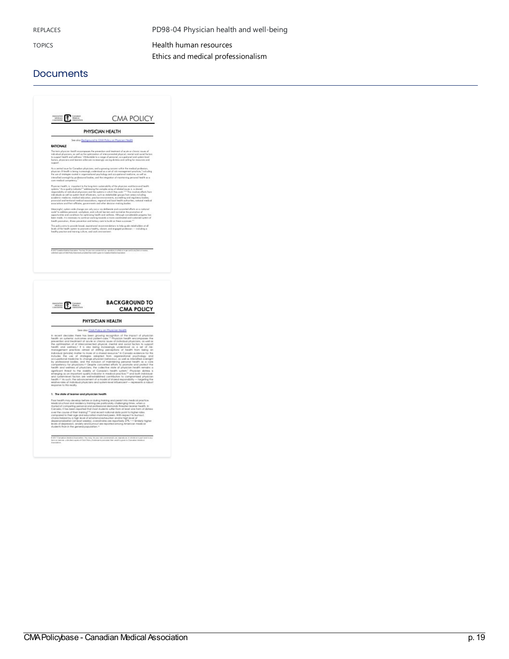REPLACES **PD98-04 Physician health and well-being** 

TOPICS **Health human [resources](https://policybase.cma.ca/list?q=topic%253A%2522Health%20human%20resources%2522&p=1&ps=&sort=title_sort%20asc)** Ethics and medical [professionalism](https://policybase.cma.ca/list?q=topic%253A%2522Ethics%20and%20medical%20professionalism%2522&p=1&ps=&sort=title_sort%20asc)

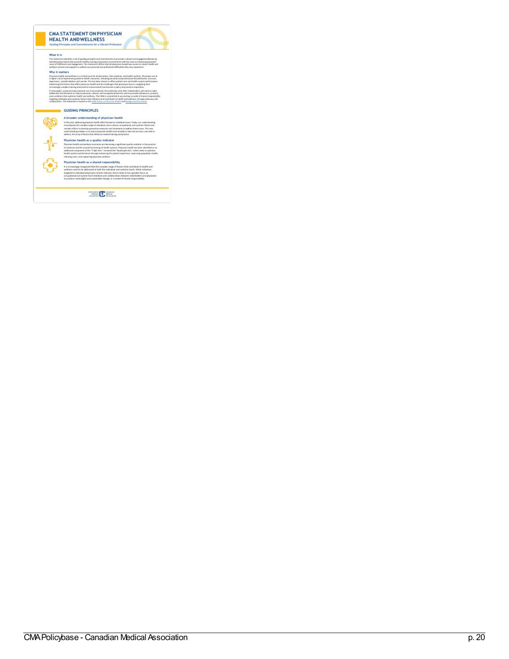

of<br>Links

atie

ntprivate<br>1990 – Paris Barbara<br>1990 – Paris Barbara

a <u>c</u> y